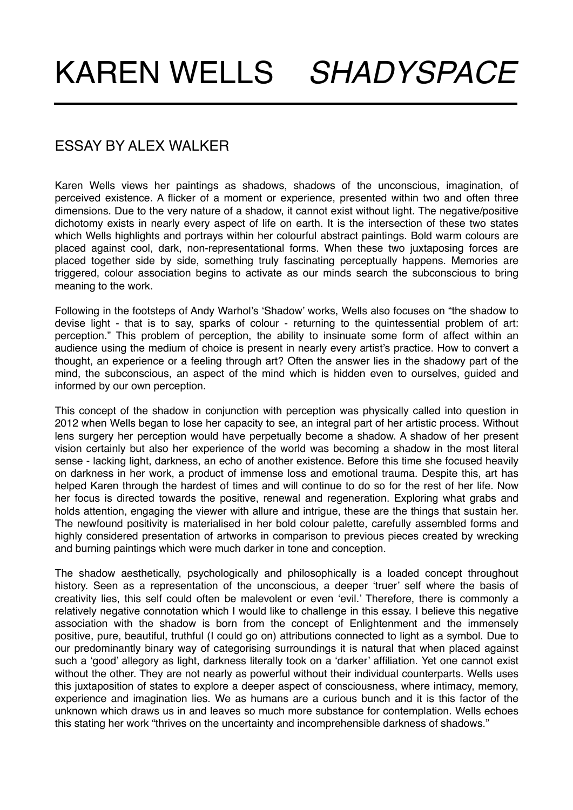## ESSAY BY ALEX WALKER

Karen Wells views her paintings as shadows, shadows of the unconscious, imagination, of perceived existence. A flicker of a moment or experience, presented within two and often three dimensions. Due to the very nature of a shadow, it cannot exist without light. The negative/positive dichotomy exists in nearly every aspect of life on earth. It is the intersection of these two states which Wells highlights and portrays within her colourful abstract paintings. Bold warm colours are placed against cool, dark, non-representational forms. When these two juxtaposing forces are placed together side by side, something truly fascinating perceptually happens. Memories are triggered, colour association begins to activate as our minds search the subconscious to bring meaning to the work.

Following in the footsteps of Andy Warhol's 'Shadow' works, Wells also focuses on "the shadow to devise light - that is to say, sparks of colour - returning to the quintessential problem of art: perception." This problem of perception, the ability to insinuate some form of affect within an audience using the medium of choice is present in nearly every artist's practice. How to convert a thought, an experience or a feeling through art? Often the answer lies in the shadowy part of the mind, the subconscious, an aspect of the mind which is hidden even to ourselves, guided and informed by our own perception.

This concept of the shadow in conjunction with perception was physically called into question in 2012 when Wells began to lose her capacity to see, an integral part of her artistic process. Without lens surgery her perception would have perpetually become a shadow. A shadow of her present vision certainly but also her experience of the world was becoming a shadow in the most literal sense - lacking light, darkness, an echo of another existence. Before this time she focused heavily on darkness in her work, a product of immense loss and emotional trauma. Despite this, art has helped Karen through the hardest of times and will continue to do so for the rest of her life. Now her focus is directed towards the positive, renewal and regeneration. Exploring what grabs and holds attention, engaging the viewer with allure and intrigue, these are the things that sustain her. The newfound positivity is materialised in her bold colour palette, carefully assembled forms and highly considered presentation of artworks in comparison to previous pieces created by wrecking and burning paintings which were much darker in tone and conception.

The shadow aesthetically, psychologically and philosophically is a loaded concept throughout history. Seen as a representation of the unconscious, a deeper 'truer' self where the basis of creativity lies, this self could often be malevolent or even 'evil.' Therefore, there is commonly a relatively negative connotation which I would like to challenge in this essay. I believe this negative association with the shadow is born from the concept of Enlightenment and the immensely positive, pure, beautiful, truthful (I could go on) attributions connected to light as a symbol. Due to our predominantly binary way of categorising surroundings it is natural that when placed against such a 'good' allegory as light, darkness literally took on a 'darker' affiliation. Yet one cannot exist without the other. They are not nearly as powerful without their individual counterparts. Wells uses this juxtaposition of states to explore a deeper aspect of consciousness, where intimacy, memory, experience and imagination lies. We as humans are a curious bunch and it is this factor of the unknown which draws us in and leaves so much more substance for contemplation. Wells echoes this stating her work "thrives on the uncertainty and incomprehensible darkness of shadows."